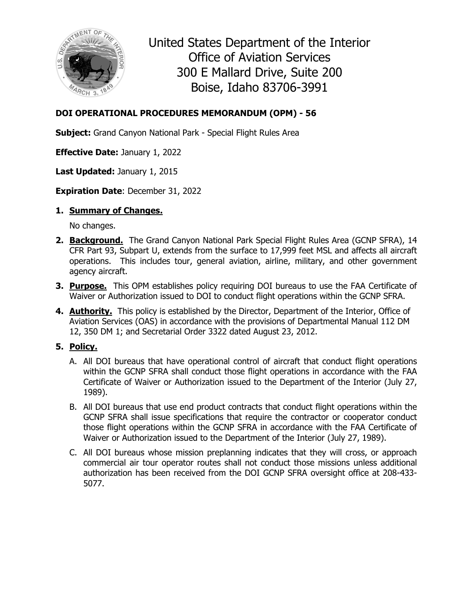

United States Department of the Interior Office of Aviation Services 300 E Mallard Drive, Suite 200 Boise, Idaho 83706-3991

## **DOI OPERATIONAL PROCEDURES MEMORANDUM (OPM) - 56**

**Subject:** Grand Canyon National Park - Special Flight Rules Area

**Effective Date:** January 1, 2022

**Last Updated:** January 1, 2015

**Expiration Date**: December 31, 2022

## **1. Summary of Changes.**

No changes.

- **2. Background.** The Grand Canyon National Park Special Flight Rules Area (GCNP SFRA), 14 CFR Part 93, Subpart U, extends from the surface to 17,999 feet MSL and affects all aircraft operations. This includes tour, general aviation, airline, military, and other government agency aircraft.
- **3. Purpose.** This OPM establishes policy requiring DOI bureaus to use the FAA Certificate of Waiver or Authorization issued to DOI to conduct flight operations within the GCNP SFRA.
- **4. Authority.** This policy is established by the Director, Department of the Interior, Office of Aviation Services (OAS) in accordance with the provisions of Departmental Manual 112 DM 12, 350 DM 1; and Secretarial Order 3322 dated August 23, 2012.

## **5. Policy.**

- A. All DOI bureaus that have operational control of aircraft that conduct flight operations within the GCNP SFRA shall conduct those flight operations in accordance with the FAA Certificate of Waiver or Authorization issued to the Department of the Interior (July 27, 1989).
- B. All DOI bureaus that use end product contracts that conduct flight operations within the GCNP SFRA shall issue specifications that require the contractor or cooperator conduct those flight operations within the GCNP SFRA in accordance with the FAA Certificate of Waiver or Authorization issued to the Department of the Interior (July 27, 1989).
- C. All DOI bureaus whose mission preplanning indicates that they will cross, or approach commercial air tour operator routes shall not conduct those missions unless additional authorization has been received from the DOI GCNP SFRA oversight office at 208-433- 5077.